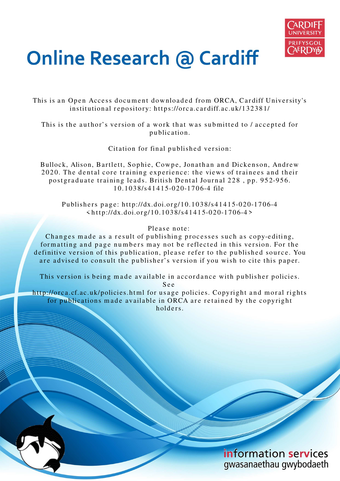

# **Online Research @ Cardiff**

This is an Open Access document downloaded from ORCA, Cardiff University's institutional repository: https://orca.cardiff.ac.uk/132381/

This is the author's version of a work that was submitted to / accepted for p u blication.

Citation for final published version:

Bullock, Alison, Bartlett, Sophie, Cowpe, Jonathan and Dickenson, Andrew 2020. The dental core training experience: the views of trainees and their postgraduate training leads. British Dental Journal 228, pp. 952-956. 1 0.10 3 8/s 41 4 1 5-0 2 0-1 7 0 6-4 file

Publishers page: http://dx.doi.org/10.1038/s41415-020-1706-4  $\langle \text{http://dx.doi.org/10.1038/s41415-020-1706-4} \rangle$ 

## Please note:

Changes made as a result of publishing processes such as copy-editing, formatting and page numbers may not be reflected in this version. For the definitive version of this publication, please refer to the published source. You are advised to consult the publisher's version if you wish to cite this paper.

This version is being made available in accordance with publisher policies.

S e e

http://orca.cf.ac.uk/policies.html for usage policies. Copyright and moral rights for publications made available in ORCA are retained by the copyright holders

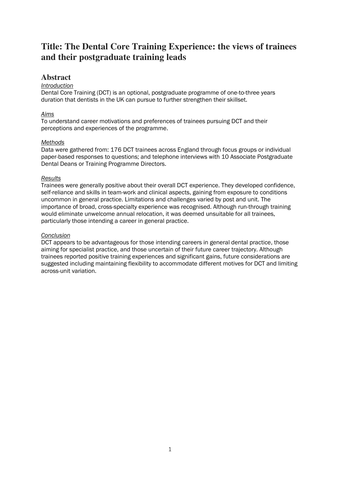# **Title: The Dental Core Training Experience: the views of trainees and their postgraduate training leads**

# **Abstract**

## *Introduction*

Dental Core Training (DCT) is an optional, postgraduate programme of one-to-three years duration that dentists in the UK can pursue to further strengthen their skillset.

## *Aims*

To understand career motivations and preferences of trainees pursuing DCT and their perceptions and experiences of the programme.

## *Methods*

Data were gathered from: 176 DCT trainees across England through focus groups or individual paper-based responses to questions; and telephone interviews with 10 Associate Postgraduate Dental Deans or Training Programme Directors.

## *Results*

Trainees were generally positive about their overall DCT experience. They developed confidence, self-reliance and skills in team-work and clinical aspects, gaining from exposure to conditions uncommon in general practice. Limitations and challenges varied by post and unit. The importance of broad, cross-specialty experience was recognised. Although run-through training would eliminate unwelcome annual relocation, it was deemed unsuitable for all trainees, particularly those intending a career in general practice.

## *Conclusion*

DCT appears to be advantageous for those intending careers in general dental practice, those aiming for specialist practice, and those uncertain of their future career trajectory. Although trainees reported positive training experiences and significant gains, future considerations are suggested including maintaining flexibility to accommodate different motives for DCT and limiting across-unit variation.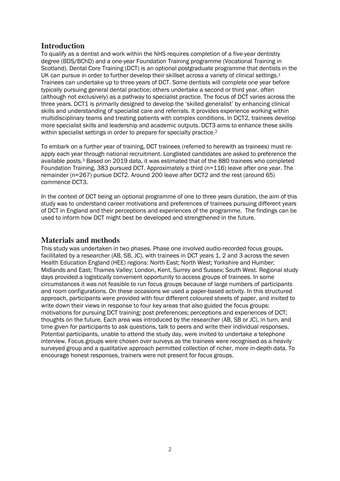# **Introduction**

To qualify as a dentist and work within the NHS requires completion of a five-year dentistry degree (BDS/BChD) and a one-year Foundation Training programme (Vocational Training in Scotland). Dental Core Training (DCT) is an optional postgraduate programme that dentists in the UK can pursue in order to further develop their skillset across a variety of clinical settings.<sup>1</sup> Trainees can undertake up to three years of DCT. Some dentists will complete one year before typically pursuing general dental practice; others undertake a second or third year, often (although not exclusively) as a pathway to specialist practice. The focus of DCT varies across the three years. DCT1 is primarily designed to develop the 'skilled generalist' by enhancing clinical skills and understanding of specialist care and referrals. It provides experience working within multidisciplinary teams and treating patients with complex conditions. In DCT2, trainees develop more specialist skills and leadership and academic outputs. DCT3 aims to enhance these skills within specialist settings in order to prepare for specialty practice.<sup>2</sup>

To embark on a further year of training, DCT trainees (referred to herewith as trainees) must reapply each year through national recruitment. Longlisted candidates are asked to preference the available posts.3 Based on 2019 data, it was estimated that of the 880 trainees who completed Foundation Training, 383 pursued DCT. Approximately a third (n=116) leave after one year. The remainder (n=267) pursue DCT2. Around 200 leave after DCT2 and the rest (around 65) commence DCT3.

In the context of DCT being an optional programme of one to three years duration, the aim of this study was to understand career motivations and preferences of trainees pursuing different years of DCT in England and their perceptions and experiences of the programme. The findings can be used to inform how DCT might best be developed and strengthened in the future.

## **Materials and methods**

This study was undertaken in two phases. Phase one involved audio-recorded focus groups, facilitated by a researcher (AB, SB, JC), with trainees in DCT years 1, 2 and 3 across the seven Health Education England (HEE) regions: North East; North West; Yorkshire and Humber; Midlands and East; Thames Valley; London, Kent, Surrey and Sussex; South West. Regional study days provided a logistically convenient opportunity to access groups of trainees. In some circumstances it was not feasible to run focus groups because of large numbers of participants and room configurations. On these occasions we used a paper-based activity. In this structured approach, participants were provided with four different coloured sheets of paper, and invited to write down their views in response to four key areas that also guided the focus groups: motivations for pursuing DCT training; post preferences; perceptions and experiences of DCT; thoughts on the future. Each area was introduced by the researcher (AB, SB or JC), in turn, and time given for participants to ask questions, talk to peers and write their individual responses. Potential participants, unable to attend the study day, were invited to undertake a telephone interview. Focus groups were chosen over surveys as the trainees were recognised as a heavily surveyed group and a qualitative approach permitted collection of richer, more in-depth data. To encourage honest responses, trainers were not present for focus groups.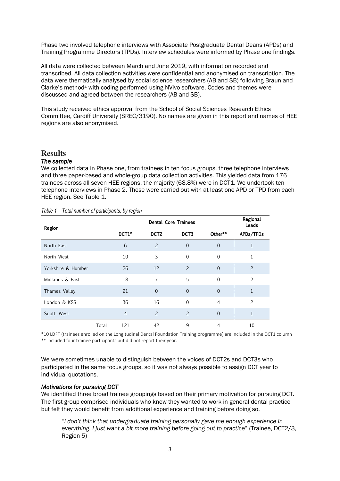Phase two involved telephone interviews with Associate Postgraduate Dental Deans (APDs) and Training Programme Directors (TPDs). Interview schedules were informed by Phase one findings.

All data were collected between March and June 2019, with information recorded and transcribed. All data collection activities were confidential and anonymised on transcription. The data were thematically analysed by social science researchers (AB and SB) following Braun and Clarke's method4 with coding performed using NVivo software. Codes and themes were discussed and agreed between the researchers (AB and SB).

This study received ethics approval from the School of Social Sciences Research Ethics Committee, Cardiff University (SREC/3190). No names are given in this report and names of HEE regions are also anonymised.

## **Results**

#### *The sample*

We collected data in Phase one, from trainees in ten focus groups, three telephone interviews and three paper-based and whole-group data collection activities. This yielded data from 176 trainees across all seven HEE regions, the majority (68.8%) were in DCT1. We undertook ten telephone interviews in Phase 2. These were carried out with at least one APD or TPD from each HEE region. See Table 1.

| Region             |       | <b>Dental Core Trainees</b> |                          |                          |                |                          |
|--------------------|-------|-----------------------------|--------------------------|--------------------------|----------------|--------------------------|
|                    |       | DCT1*                       | DCT <sub>2</sub>         | DCT3                     | Other**        | APDs/TPDs                |
| North East         |       | 6                           | 2                        | $\overline{0}$           | $\overline{0}$ |                          |
| North West         |       | 10                          | 3                        | $\Omega$                 | $\Omega$       | 1                        |
| Yorkshire & Humber |       | 26                          | 12                       | $\overline{z}$           | $\Omega$       | $\overline{\phantom{0}}$ |
| Midlands & East    |       | 18                          | $\overline{7}$           | 5                        | $\Omega$       | $\overline{\phantom{0}}$ |
| Thames Valley      |       | 21                          | $\Omega$                 | $\Omega$                 | $\Omega$       | $\mathbf{1}$             |
| London & KSS       |       | 36                          | 16                       | $\Omega$                 | $\overline{4}$ | $\overline{2}$           |
| South West         |       | $\overline{4}$              | $\overline{\phantom{0}}$ | $\overline{\phantom{0}}$ | $\Omega$       | $\mathbf{1}$             |
|                    | Total | 121                         | 42                       | 9                        | 4              | 10                       |

*Table 1 – Total number of participants, by region* 

\*10 LDFT (trainees enrolled on the Longitudinal Dental Foundation Training programme) are included in the DCT1 column \*\* included four trainee participants but did not report their year.

We were sometimes unable to distinguish between the voices of DCT2s and DCT3s who participated in the same focus groups, so it was not always possible to assign DCT year to individual quotations.

#### *Motivations for pursuing DCT*

We identified three broad trainee groupings based on their primary motivation for pursuing DCT. The first group comprised individuals who knew they wanted to work in general dental practice but felt they would benefit from additional experience and training before doing so.

"*I don't think that undergraduate training personally gave me enough experience in everything. I just want a bit more training before going out to practice*" (Trainee, DCT2/3, Region 5)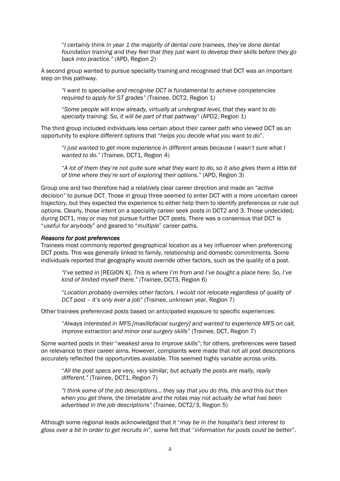"*I certainly think in year 1 the majority of dental core trainees, they've done dental foundation training and they feel that they just want to develop their skills before they go back into practice."* (APD, Region 2)

A second group wanted to pursue speciality training and recognised that DCT was an important step on this pathway.

*"I want to specialise and recognise DCT is fundamental to achieve competencies required to apply for ST grades" (*Trainee, DCT2, Region 1*)* 

"*Some people will know already, virtually at undergrad level, that they want to do specialty training. So, it will be part of that pathway*" (APD2, Region 1)

The third group included individuals less certain about their career path who viewed DCT as an opportunity to explore different options that "*helps you decide what you want to do*".

"*I just wanted to get more experience in different areas because I wasn't sure what I wanted to do."* (Trainee, DCT1, Region 4)

"*A lot of them they're not quite sure what they want to do, so it also gives them a little bit of time where they're sort of exploring their options*." (APD, Region 3)

Group one and two therefore had a relatively clear career direction and made an "*active decision*" to pursue DCT. Those in group three seemed to enter DCT with a more uncertain career trajectory, but they expected the experience to either help them to identify preferences or rule out options. Clearly, those intent on a speciality career seek posts in DCT2 and 3. Those undecided, during DCT1, may or may not pursue further DCT posts. There was a consensus that DCT is "*useful for anybody*" and geared to "*multiple*" career paths.

#### *Reasons for post preferences*

Trainees most commonly reported geographical location as a key influencer when preferencing DCT posts. This was generally linked to family, relationship and domestic commitments. Some individuals reported that geography would override other factors, such as the quality of a post.

*"I've settled in* [REGION X]. *This is where I'm from and I've bought a place here. So, I've kind of limited myself there."* (Trainee, DCT3, Region 6)

"*Location probably overrides other factors. I would not relocate regardless of quality of DCT post – it's only ever a job*" (Trainee, unknown year, Region 7)

Other trainees preferenced posts based on anticipated exposure to specific experiences:

"*Always interested in MFS [maxillofacial surgery] and wanted to experience MFS on call, improve extraction and minor oral surgery skills*" (Trainee, DCT, Region 7)

Some wanted posts in their "*weakest area to improve skills*"; for others, preferences were based on relevance to their career aims. However, complaints were made that not all post descriptions accurately reflected the opportunities available. This seemed highly variable across units.

"*All the post specs are very, very similar, but actually the posts are really, really different."* (Trainee, DCT1, Region 7)

*"I think some of the job descriptions… they say that you do this, this and this but then when you get there, the timetable and the rotas may not actually be what has been advertised in the job descriptions"* (Trainee, DCT2/3, Region 5)

Although some regional leads acknowledged that it "*may be in the hospital's best interest to gloss over a bit in order to get recruits in*", some felt that "*information for posts could be bette*r".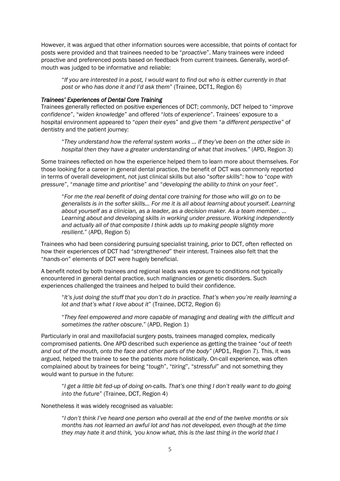However, it was argued that other information sources were accessible, that points of contact for posts were provided and that trainees needed to be "*proactive*". Many trainees were indeed proactive and preferenced posts based on feedback from current trainees. Generally, word-ofmouth was judged to be informative and reliable:

"*If you are interested in a post, I would want to find out who is either currently in that post or who has done it and I'd ask them*" (Trainee, DCT1, Region 6)

#### *Trainees' Experiences of Dental Core Training*

Trainees generally reflected on positive experiences of DCT; commonly, DCT helped to "*improve confidence*", "*widen knowledge*" and offered "*lots of experience*". Trainees' exposure to a hospital environment appeared to "*open their eyes*" and give them "*a different perspective*" of dentistry and the patient journey:

"*They understand how the referral system works … if they've been on the other side in hospital then they have a greater understanding of what that involves."* (APD, Region 3)

Some trainees reflected on how the experience helped them to learn more about themselves. For those looking for a career in general dental practice, the benefit of DCT was commonly reported in terms of overall development, not just clinical skills but also "*softer skills*": how to "*cope with pressure*", "*manage time and prioritise*" and "*developing the ability to think on your feet*".

"*For me the real benefit of doing dental core training for those who will go on to be generalists is in the softer skills… For me it is all about learning about yourself. Learning about yourself as a clinician, as a leader, as a decision maker. As a team member. … Learning about and developing skills in working under pressure. Working independently and actually all of that composite I think adds up to making people slightly more resilient*." (APD, Region 5)

Trainees who had been considering pursuing specialist training, prior to DCT, often reflected on how their experiences of DCT had "*strengthened*" their interest. Trainees also felt that the "*hands-on*" elements of DCT were hugely beneficial.

A benefit noted by both trainees and regional leads was exposure to conditions not typically encountered in general dental practice, such malignancies or genetic disorders. Such experiences challenged the trainees and helped to build their confidence.

"*It's just doing the stuff that you don't do in practice. That's when you're really learning a lot and that's what I love about it*" (Trainee, DCT2, Region 6)

"*They feel empowered and more capable of managing and dealing with the difficult and sometimes the rather obscure*." (APD, Region 1)

Particularly in oral and maxillofacial surgery posts, trainees managed complex, medically compromised patients. One APD described such experience as getting the trainee "*out of teeth and out of the mouth, onto the face and other parts of the body"* (APD1, Region 7)*.* This, it was argued, helped the trainee to see the patients more holistically. On-call experience, was often complained about by trainees for being "*tough*", "*tiring*", "*stressful*" and not something they would want to pursue in the future:

"*I get a little bit fed-up of doing on-calls. That's one thing I don't really want to do going into the future*" (Trainee, DCT, Region 4)

Nonetheless it was widely recognised as valuable:

"*I don't think I've heard one person who overall at the end of the twelve months or six months has not learned an awful lot and has not developed, even though at the time they may hate it and think, 'you know what, this is the last thing in the world that I*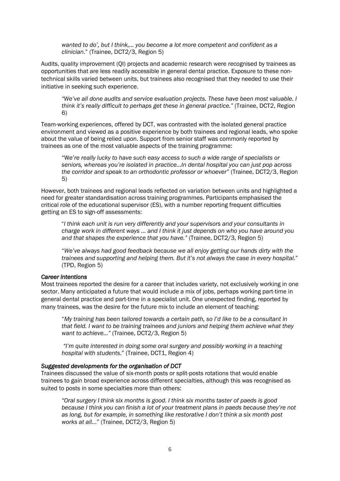*wanted to do', but I think,… you become a lot more competent and confident as a clinician*." (Trainee, DCT2/3, Region 5)

Audits, quality improvement (QI) projects and academic research were recognised by trainees as opportunities that are less readily accessible in general dental practice. Exposure to these nontechnical skills varied between units, but trainees also recognised that they needed to use their initiative in seeking such experience.

*"We've all done audits and service evaluation projects. These have been most valuable. I think it's really difficult to perhaps get these in general practice."* (Trainee, DCT2, Region 6)

Team-working experiences, offered by DCT, was contrasted with the isolated general practice environment and viewed as a positive experience by both trainees and regional leads, who spoke about the value of being relied upon. Support from senior staff was commonly reported by trainees as one of the most valuable aspects of the training programme:

"W*e're really lucky to have such easy access to such a wide range of specialists or seniors, whereas you're isolated in practice…In dental hospital you can just pop across the corridor and speak to an orthodontic professor or whoever*" (Trainee, DCT2/3, Region 5)

However, both trainees and regional leads reflected on variation between units and highlighted a need for greater standardisation across training programmes. Participants emphasised the critical role of the educational supervisor (ES), with a number reporting frequent difficulties getting an ES to sign-off assessments:

"*I think each unit is run very differently and your supervisors and your consultants in charge work in different ways … and I think it just depends on who you have around you and that shapes the experience that you have."* (Trainee, DCT2/3, Region 5)

"*We've always had good feedback because we all enjoy getting our hands dirty with the trainees and supporting and helping them. But it's not always the case in every hospital*." (TPD, Region 5)

#### *Career intentions*

Most trainees reported the desire for a career that includes variety, not exclusively working in one sector. Many anticipated a future that would include a mix of jobs, perhaps working part-time in general dental practice and part-time in a specialist unit. One unexpected finding, reported by many trainees, was the desire for the future mix to include an element of teaching:

"*My training has been tailored towards a certain path, so I'd like to be a consultant in that field. I want to be training trainees and juniors and helping them achieve what they want to achieve..."* (Trainee, DCT2/3, Region 5)

*"I'm quite interested in doing some oral surgery and possibly working in a teaching hospital with students*." (Trainee, DCT1, Region 4)

#### *Suggested developments for the organisation of DCT*

Trainees discussed the value of six-month posts or split-posts rotations that would enable trainees to gain broad experience across different specialties, although this was recognised as suited to posts in some specialties more than others:

 *"Oral surgery I think six months is good. I think six months taster of paeds is good because I think you can finish a lot of your treatment plans in paeds because they're not as long, but for example, in something like restorative I don't think a six month post works at all..*." (Trainee, DCT2/3, Region 5)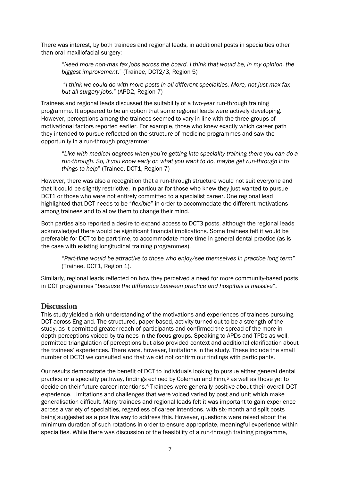There was interest, by both trainees and regional leads, in additional posts in specialties other than oral maxillofacial surgery:

"*Need more non-max fax jobs across the board. I think that would be, in my opinion, the biggest improvement*." (Trainee, DCT2/3, Region 5)

"*I think we could do with more posts in all different specialties. More, not just max fax but all surgery jobs*." (APD2, Region 7)

Trainees and regional leads discussed the suitability of a two-year run-through training programme. It appeared to be an option that some regional leads were actively developing. However, perceptions among the trainees seemed to vary in line with the three groups of motivational factors reported earlier. For example, those who knew exactly which career path they intended to pursue reflected on the structure of medicine programmes and saw the opportunity in a run-through programme:

"*Like with medical degrees when you're getting into speciality training there you can do a run-through. So, if you know early on what you want to do, maybe get run-through into things to help*" (Trainee, DCT1, Region 7)

However, there was also a recognition that a run-through structure would not suit everyone and that it could be slightly restrictive, in particular for those who knew they just wanted to pursue DCT1 or those who were not entirely committed to a specialist career. One regional lead highlighted that DCT needs to be "*flexible*" in order to accommodate the different motivations among trainees and to allow them to change their mind.

Both parties also reported a desire to expand access to DCT3 posts, although the regional leads acknowledged there would be significant financial implications. Some trainees felt it would be preferable for DCT to be part-time, to accommodate more time in general dental practice (as is the case with existing longitudinal training programmes).

"*Part-time would be attractive to those who enjoy/see themselves in practice long term*" (Trainee, DCT1, Region 1).

Similarly, regional leads reflected on how they perceived a need for more community-based posts in DCT programmes "*because the difference between practice and hospitals is massive*".

## **Discussion**

This study yielded a rich understanding of the motivations and experiences of trainees pursuing DCT across England. The structured, paper-based, activity turned out to be a strength of the study, as it permitted greater reach of participants and confirmed the spread of the more indepth perceptions voiced by trainees in the focus groups. Speaking to APDs and TPDs as well, permitted triangulation of perceptions but also provided context and additional clarification about the trainees' experiences. There were, however, limitations in the study. These include the small number of DCT3 we consulted and that we did not confirm our findings with participants.

Our results demonstrate the benefit of DCT to individuals looking to pursue either general dental practice or a specialty pathway, findings echoed by Coleman and Finn,5 as well as those yet to decide on their future career intentions.6 Trainees were generally positive about their overall DCT experience. Limitations and challenges that were voiced varied by post and unit which make generalisation difficult. Many trainees and regional leads felt it was important to gain experience across a variety of specialties, regardless of career intentions, with six-month and split posts being suggested as a positive way to address this. However, questions were raised about the minimum duration of such rotations in order to ensure appropriate, meaningful experience within specialties. While there was discussion of the feasibility of a run-through training programme,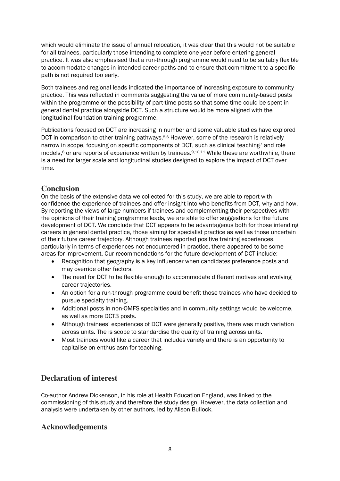which would eliminate the issue of annual relocation, it was clear that this would not be suitable for all trainees, particularly those intending to complete one year before entering general practice. It was also emphasised that a run-through programme would need to be suitably flexible to accommodate changes in intended career paths and to ensure that commitment to a specific path is not required too early.

Both trainees and regional leads indicated the importance of increasing exposure to community practice. This was reflected in comments suggesting the value of more community-based posts within the programme or the possibility of part-time posts so that some time could be spent in general dental practice alongside DCT. Such a structure would be more aligned with the longitudinal foundation training programme.

Publications focused on DCT are increasing in number and some valuable studies have explored DCT in comparison to other training pathways.<sup>5,6</sup> However, some of the research is relatively narrow in scope, focusing on specific components of DCT, such as clinical teaching<sup>7</sup> and role models,<sup>8</sup> or are reports of experience written by trainees.<sup>9,10,11</sup> While these are worthwhile, there is a need for larger scale and longitudinal studies designed to explore the impact of DCT over time.

# **Conclusion**

On the basis of the extensive data we collected for this study, we are able to report with confidence the experience of trainees and offer insight into who benefits from DCT, why and how. By reporting the views of large numbers if trainees and complementing their perspectives with the opinions of their training programme leads, we are able to offer suggestions for the future development of DCT. We conclude that DCT appears to be advantageous both for those intending careers in general dental practice, those aiming for specialist practice as well as those uncertain of their future career trajectory. Although trainees reported positive training experiences, particularly in terms of experiences not encountered in practice, there appeared to be some areas for improvement. Our recommendations for the future development of DCT include:

- Recognition that geography is a key influencer when candidates preference posts and may override other factors.
- The need for DCT to be flexible enough to accommodate different motives and evolving career trajectories.
- An option for a run-through programme could benefit those trainees who have decided to pursue specialty training.
- Additional posts in non-OMFS specialties and in community settings would be welcome, as well as more DCT3 posts.
- Although trainees' experiences of DCT were generally positive, there was much variation across units. The is scope to standardise the quality of training across units.
- Most trainees would like a career that includes variety and there is an opportunity to capitalise on enthusiasm for teaching.

# **Declaration of interest**

Co-author Andrew Dickenson, in his role at Health Education England, was linked to the commissioning of this study and therefore the study design. However, the data collection and analysis were undertaken by other authors, led by Alison Bullock.

# **Acknowledgements**